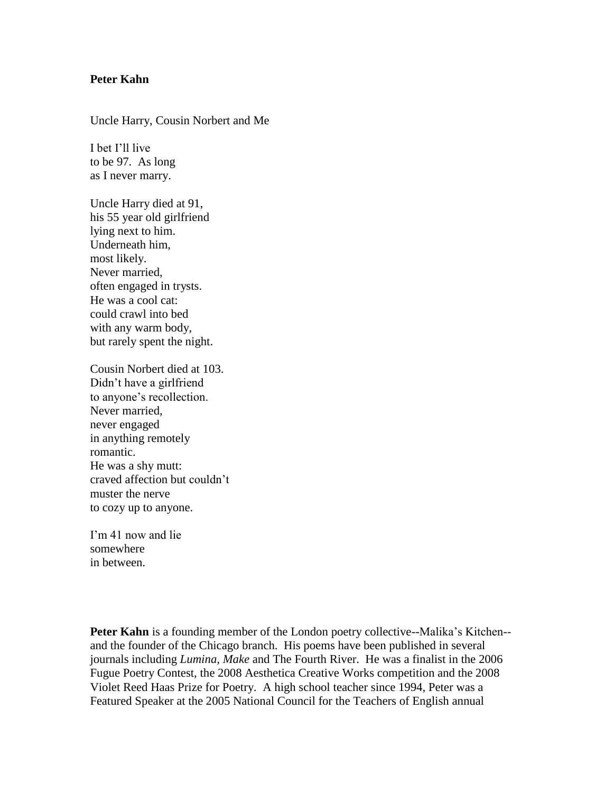## **Peter Kahn**

Uncle Harry, Cousin Norbert and Me

I bet I'll live to be 97. As long as I never marry.

Uncle Harry died at 91, his 55 year old girlfriend lying next to him. Underneath him, most likely. Never married, often engaged in trysts. He was a cool cat: could crawl into bed with any warm body, but rarely spent the night.

Cousin Norbert died at 103. Didn't have a girlfriend to anyone's recollection. Never married, never engaged in anything remotely romantic. He was a shy mutt: craved affection but couldn't muster the nerve to cozy up to anyone.

I'm 41 now and lie somewhere in between.

**Peter Kahn** is a founding member of the London poetry collective--Malika's Kitchen-and the founder of the Chicago branch. His poems have been published in several journals including *Lumina, Make* and The Fourth River. He was a finalist in the 2006 Fugue Poetry Contest, the 2008 Aesthetica Creative Works competition and the 2008 Violet Reed Haas Prize for Poetry. A high school teacher since 1994, Peter was a Featured Speaker at the 2005 National Council for the Teachers of English annual